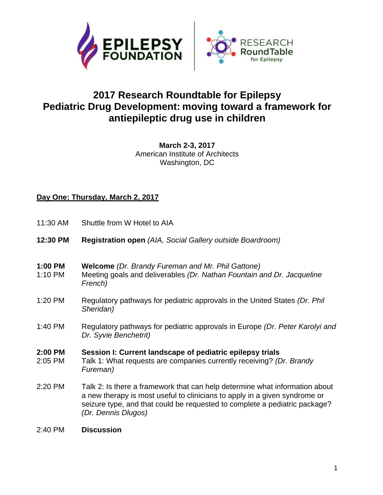



# **2017 Research Roundtable for Epilepsy Pediatric Drug Development: moving toward a framework for antiepileptic drug use in children**

**March 2-3, 2017** American Institute of Architects Washington, DC

#### **Day One: Thursday, March 2, 2017**

- 11:30 AM Shuttle from W Hotel to AIA
- **12:30 PM Registration open** *(AIA, Social Gallery outside Boardroom)*
- **1:00 PM Welcome** *(Dr. Brandy Fureman and Mr. Phil Gattone)*
- 1:10 PM Meeting goals and deliverables *(Dr. Nathan Fountain and Dr. Jacqueline French)*
- 1:20 PM Regulatory pathways for pediatric approvals in the United States *(Dr. Phil Sheridan)*
- 1:40 PM Regulatory pathways for pediatric approvals in Europe *(Dr. Peter Karolyi and Dr. Syvie Benchetrit)*

# **2:00 PM Session I: Current landscape of pediatric epilepsy trials**

- 2:05 PM Talk 1: What requests are companies currently receiving? *(Dr. Brandy Fureman)*
- 2:20 PM Talk 2: Is there a framework that can help determine what information about a new therapy is most useful to clinicians to apply in a given syndrome or seizure type, and that could be requested to complete a pediatric package? *(Dr. Dennis Dlugos)*
- 2:40 PM **Discussion**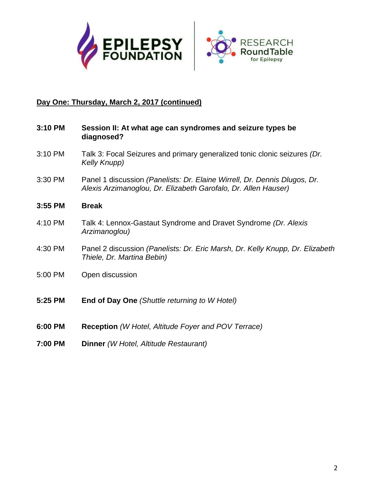



# **Day One: Thursday, March 2, 2017 (continued)**

| 3:10 PM | Session II: At what age can syndromes and seizure types be<br>diagnosed?                                                                    |
|---------|---------------------------------------------------------------------------------------------------------------------------------------------|
| 3:10 PM | Talk 3: Focal Seizures and primary generalized tonic clonic seizures (Dr.<br>Kelly Knupp)                                                   |
| 3:30 PM | Panel 1 discussion (Panelists: Dr. Elaine Wirrell, Dr. Dennis Dlugos, Dr.<br>Alexis Arzimanoglou, Dr. Elizabeth Garofalo, Dr. Allen Hauser) |
| 3:55 PM | <b>Break</b>                                                                                                                                |
| 4:10 PM | Talk 4: Lennox-Gastaut Syndrome and Dravet Syndrome (Dr. Alexis<br>Arzimanoglou)                                                            |
| 4:30 PM | Panel 2 discussion (Panelists: Dr. Eric Marsh, Dr. Kelly Knupp, Dr. Elizabeth<br>Thiele, Dr. Martina Bebin)                                 |
| 5:00 PM | Open discussion                                                                                                                             |
| 5:25 PM | <b>End of Day One</b> (Shuttle returning to W Hotel)                                                                                        |
| 6:00 PM | <b>Reception</b> (W Hotel, Altitude Foyer and POV Terrace)                                                                                  |
| 7:00 PM | Dinner (W Hotel, Altitude Restaurant)                                                                                                       |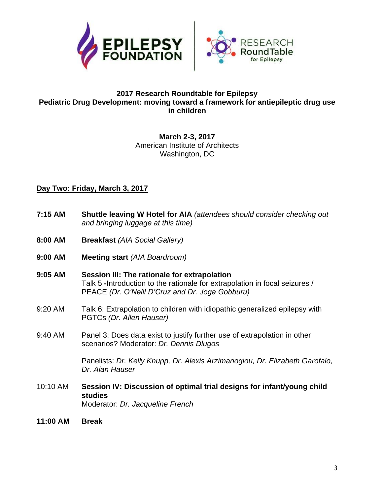



#### **2017 Research Roundtable for Epilepsy Pediatric Drug Development: moving toward a framework for antiepileptic drug use in children**

#### **March 2-3, 2017** American Institute of Architects Washington, DC

## **Day Two: Friday, March 3, 2017**

| 7:15 AM  | Shuttle leaving W Hotel for AIA (attendees should consider checking out<br>and bringing luggage at this time)                                                                  |
|----------|--------------------------------------------------------------------------------------------------------------------------------------------------------------------------------|
| 8:00 AM  | <b>Breakfast (AIA Social Gallery)</b>                                                                                                                                          |
| 9:00 AM  | <b>Meeting start (AIA Boardroom)</b>                                                                                                                                           |
| 9:05 AM  | Session III: The rationale for extrapolation<br>Talk 5 -Introduction to the rationale for extrapolation in focal seizures /<br>PEACE (Dr. O'Neill D'Cruz and Dr. Joga Gobburu) |
| 9:20 AM  | Talk 6: Extrapolation to children with idiopathic generalized epilepsy with<br>PGTCs (Dr. Allen Hauser)                                                                        |
| 9:40 AM  | Panel 3: Does data exist to justify further use of extrapolation in other<br>scenarios? Moderator: Dr. Dennis Dlugos                                                           |
|          | Panelists: Dr. Kelly Knupp, Dr. Alexis Arzimanoglou, Dr. Elizabeth Garofalo,<br>Dr. Alan Hauser                                                                                |
| 10:10 AM | Session IV: Discussion of optimal trial designs for infant/young child<br><b>studies</b><br>Moderator: Dr. Jacqueline French                                                   |
| 11:00 AM | <b>Break</b>                                                                                                                                                                   |